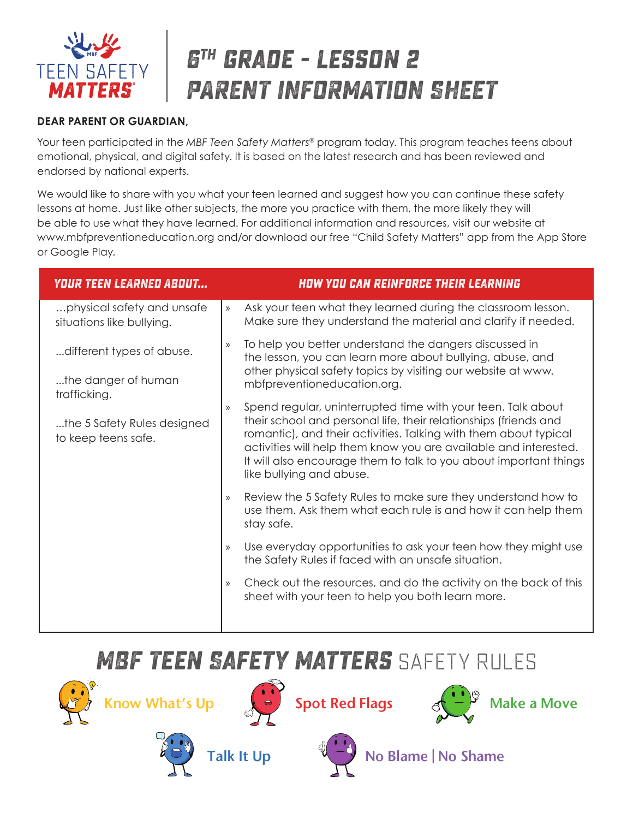

# **6th grade - lesson 2 PARENT INFORMATION SHEET**

#### **DEAR PARENT OR GUARDIAN,**

Your teen participated in the *MBF Teen Safety Matters®* program today. This program teaches teens about emotional, physical, and digital safety. It is based on the latest research and has been reviewed and endorsed by national experts.

We would like to share with you what your teen learned and suggest how you can continue these safety lessons at home. Just like other subjects, the more you practice with them, the more likely they will be able to use what they have learned. For additional information and resources, visit our website at www.mbfpreventioneducation.org and/or download our free "Child Safety Matters" app from the App Store or Google Play.

| <b>YOUR TEEN LEARNED ABOUT</b>                          |               | <b>HOW YOU CAN REINFORCE THEIR LEARNING</b>                                                                                                                                                                                                                                                                                                                               |
|---------------------------------------------------------|---------------|---------------------------------------------------------------------------------------------------------------------------------------------------------------------------------------------------------------------------------------------------------------------------------------------------------------------------------------------------------------------------|
| physical safety and unsafe<br>situations like bullying. | $\mathcal{Y}$ | Ask your teen what they learned during the classroom lesson.<br>Make sure they understand the material and clarify if needed.                                                                                                                                                                                                                                             |
| different types of abuse.                               | $\rangle$     | To help you better understand the dangers discussed in<br>the lesson, you can learn more about bullying, abuse, and<br>other physical safety topics by visiting our website at www.<br>mbfpreventioneducation.org.                                                                                                                                                        |
| the danger of human<br>trafficking.                     |               |                                                                                                                                                                                                                                                                                                                                                                           |
| the 5 Safety Rules designed<br>to keep teens safe.      | $\mathcal{Y}$ | Spend regular, uninterrupted time with your teen. Talk about<br>their school and personal life, their relationships (friends and<br>romantic), and their activities. Talking with them about typical<br>activities will help them know you are available and interested.<br>It will also encourage them to talk to you about important things<br>like bullying and abuse. |
|                                                         | $\mathcal{Y}$ | Review the 5 Safety Rules to make sure they understand how to<br>use them. Ask them what each rule is and how it can help them<br>stay safe.                                                                                                                                                                                                                              |
|                                                         | $\mathcal{Y}$ | Use everyday opportunities to ask your teen how they might use<br>the Safety Rules if faced with an unsafe situation.                                                                                                                                                                                                                                                     |
|                                                         | $\mathcal{Y}$ | Check out the resources, and do the activity on the back of this<br>sheet with your teen to help you both learn more.                                                                                                                                                                                                                                                     |
|                                                         |               |                                                                                                                                                                                                                                                                                                                                                                           |

### **MBF Teen Safety Matters** SAFETY RULES